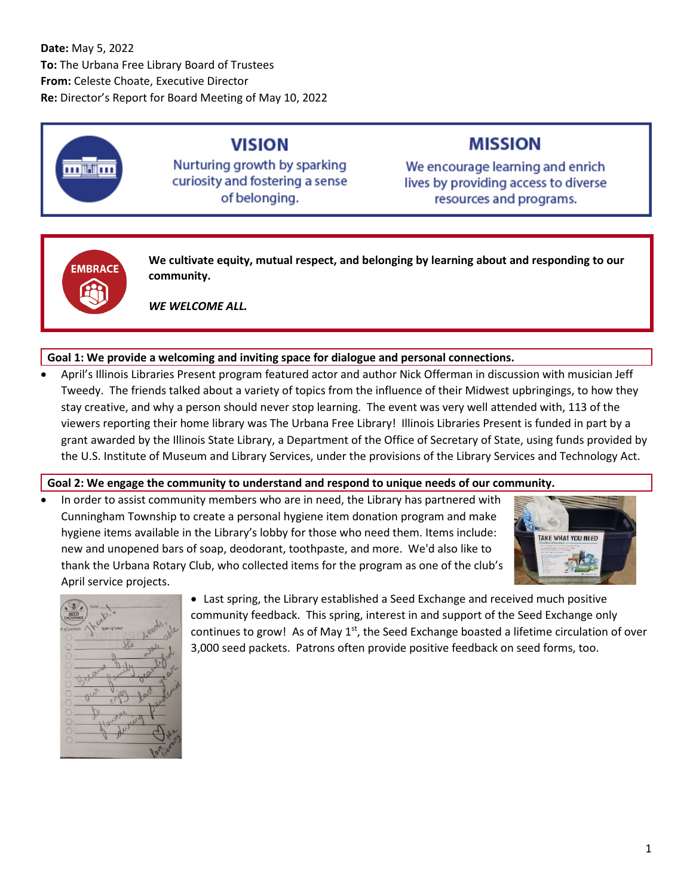## **Date:** May 5, 2022 **To:** The Urbana Free Library Board of Trustees **From:** Celeste Choate, Executive Director **Re:** Director's Report for Board Meeting of May 10, 2022



## **VISION**

Nurturing growth by sparking curiosity and fostering a sense of belonging.

# **MISSION**

We encourage learning and enrich lives by providing access to diverse resources and programs.



**We cultivate equity, mutual respect, and belonging by learning about and responding to our community.**

*WE WELCOME ALL.*

## **Goal 1: We provide a welcoming and inviting space for dialogue and personal connections.**

• April's Illinois Libraries Present program featured actor and author Nick Offerman in discussion with musician Jeff Tweedy. The friends talked about a variety of topics from the influence of their Midwest upbringings, to how they stay creative, and why a person should never stop learning. The event was very well attended with, 113 of the viewers reporting their home library was The Urbana Free Library! Illinois Libraries Present is funded in part by a grant awarded by the Illinois State Library, a Department of the Office of Secretary of State, using funds provided by the U.S. Institute of Museum and Library Services, under the provisions of the Library Services and Technology Act.

## **Goal 2: We engage the community to understand and respond to unique needs of our community.**

In order to assist community members who are in need, the Library has partnered with Cunningham Township to create a personal hygiene item donation program and make hygiene items available in the Library's lobby for those who need them. Items include: new and unopened bars of soap, deodorant, toothpaste, and more. We'd also like to thank the Urbana Rotary Club, who collected items for the program as one of the club's April service projects.





• Last spring, the Library established a Seed Exchange and received much positive community feedback. This spring, interest in and support of the Seed Exchange only continues to grow! As of May  $1<sup>st</sup>$ , the Seed Exchange boasted a lifetime circulation of over 3,000 seed packets. Patrons often provide positive feedback on seed forms, too.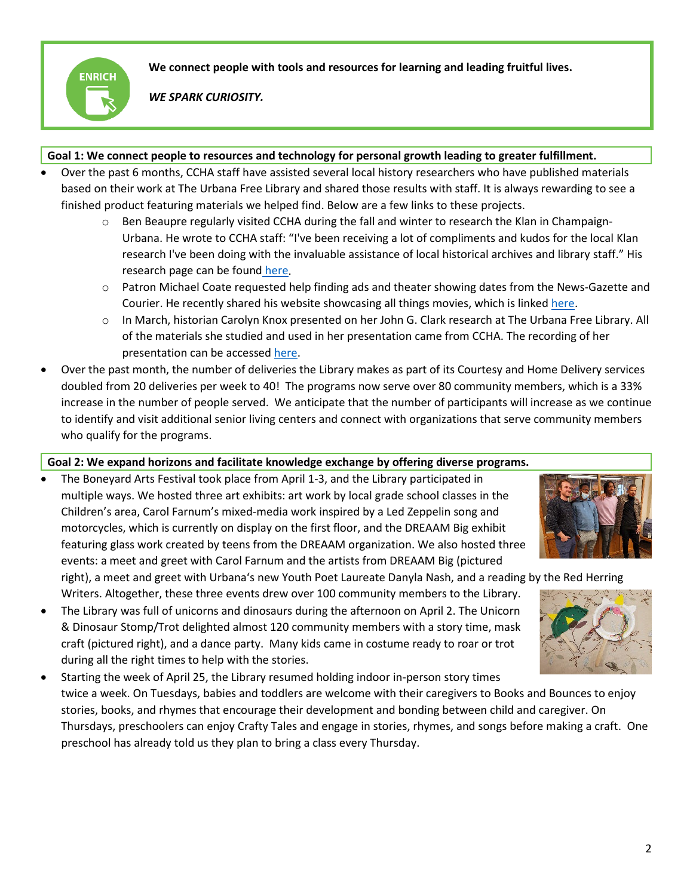

**We connect people with tools and resources for learning and leading fruitful lives.**

*WE SPARK CURIOSITY.*

#### **Goal 1: We connect people to resources and technology for personal growth leading to greater fulfillment.**

- Over the past 6 months, CCHA staff have assisted several local history researchers who have published materials based on their work at The Urbana Free Library and shared those results with staff. It is always rewarding to see a finished product featuring materials we helped find. Below are a few links to these projects.
	- $\circ$  Ben Beaupre regularly visited CCHA during the fall and winter to research the Klan in Champaign-Urbana. He wrote to CCHA staff: "I've been receiving a lot of compliments and kudos for the local Klan research I've been doing with the invaluable assistance of local historical archives and library staff." His research page can be found [here.](https://cuklan.blogspot.com/2021/08/c-u-klan.html)
	- $\circ$  Patron Michael Coate requested help finding ads and theater showing dates from the News-Gazette and Courier. He recently shared his website showcasing all things movies, which is linked [here.](https://thedigitalbits.com/columns/history-legacy-showmanship)
	- o In March, historian Carolyn Knox presented on her John G. Clark research at The Urbana Free Library. All of the materials she studied and used in her presentation came from CCHA. The recording of her presentation can be accessed [here.](https://fb.watch/bTgVGG4uDn/)
- Over the past month, the number of deliveries the Library makes as part of its Courtesy and Home Delivery services doubled from 20 deliveries per week to 40! The programs now serve over 80 community members, which is a 33% increase in the number of people served. We anticipate that the number of participants will increase as we continue to identify and visit additional senior living centers and connect with organizations that serve community members who qualify for the programs.

#### **Goal 2: We expand horizons and facilitate knowledge exchange by offering diverse programs.**

• The Boneyard Arts Festival took place from April 1-3, and the Library participated in multiple ways. We hosted three art exhibits: art work by local grade school classes in the Children's area, Carol Farnum's mixed-media work inspired by a Led Zeppelin song and motorcycles, which is currently on display on the first floor, and the DREAAM Big exhibit featuring glass work created by teens from the DREAAM organization. We also hosted three events: a meet and greet with Carol Farnum and the artists from DREAAM Big (pictured



right), a meet and greet with Urbana's new Youth Poet Laureate Danyla Nash, and a reading by the Red Herring

- Writers. Altogether, these three events drew over 100 community members to the Library. • The Library was full of unicorns and dinosaurs during the afternoon on April 2. The Unicorn & Dinosaur Stomp/Trot delighted almost 120 community members with a story time, mask craft (pictured right), and a dance party. Many kids came in costume ready to roar or trot during all the right times to help with the stories.
- Starting the week of April 25, the Library resumed holding indoor in-person story times twice a week. On Tuesdays, babies and toddlers are welcome with their caregivers to Books and Bounces to enjoy stories, books, and rhymes that encourage their development and bonding between child and caregiver. On Thursdays, preschoolers can enjoy Crafty Tales and engage in stories, rhymes, and songs before making a craft. One preschool has already told us they plan to bring a class every Thursday.

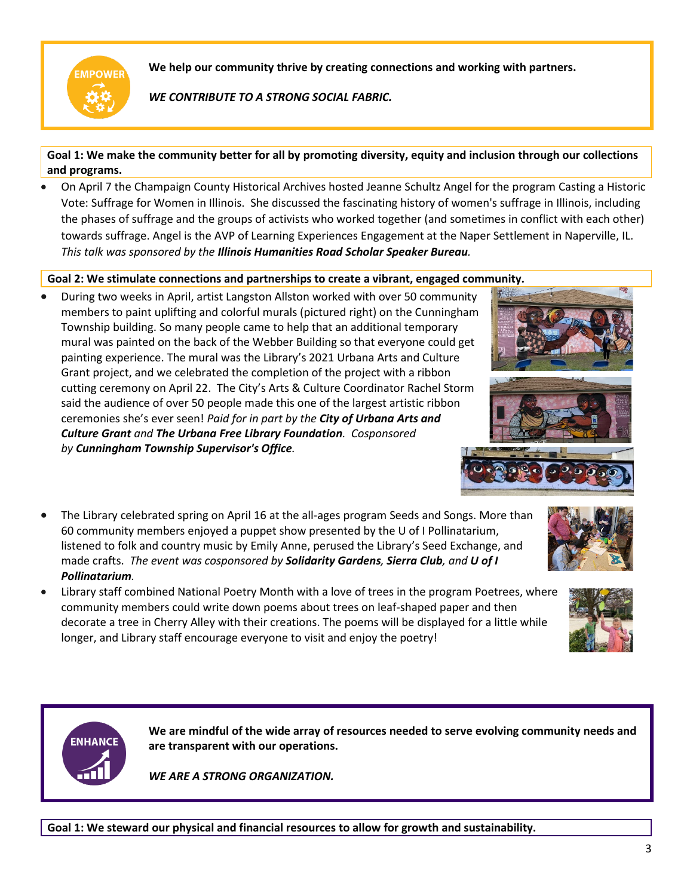

**We help our community thrive by creating connections and working with partners.**

*WE CONTRIBUTE TO A STRONG SOCIAL FABRIC.*

**Goal 1: We make the community better for all by promoting diversity, equity and inclusion through our collections and programs.**

• On April 7 the Champaign County Historical Archives hosted Jeanne Schultz Angel for the program Casting a Historic Vote: Suffrage for Women in Illinois. She discussed the fascinating history of women's suffrage in Illinois, including the phases of suffrage and the groups of activists who worked together (and sometimes in conflict with each other) towards suffrage. Angel is the AVP of Learning Experiences Engagement at the Naper Settlement in Naperville, IL. *This talk was sponsored by the Illinois Humanities Road Scholar Speaker Bureau.*

#### **Goal 2: We stimulate connections and partnerships to create a vibrant, engaged community.**

- During two weeks in April, artist Langston Allston worked with over 50 community members to paint uplifting and colorful murals (pictured right) on the Cunningham Township building. So many people came to help that an additional temporary mural was painted on the back of the Webber Building so that everyone could get painting experience. The mural was the Library's 2021 Urbana Arts and Culture Grant project, and we celebrated the completion of the project with a ribbon cutting ceremony on April 22. The City's Arts & Culture Coordinator Rachel Storm said the audience of over 50 people made this one of the largest artistic ribbon ceremonies she's ever seen! *Paid for in part by the City of Urbana Arts and Culture Grant and The Urbana Free Library Foundation. Cosponsored by Cunningham Township Supervisor's Office.*
- The Library celebrated spring on April 16 at the all-ages program Seeds and Songs. More than 60 community members enjoyed a puppet show presented by the U of I Pollinatarium, listened to folk and country music by Emily Anne, perused the Library's Seed Exchange, and made crafts. *The event was cosponsored by Solidarity Gardens, Sierra Club, and U of I Pollinatarium.*
- Library staff combined National Poetry Month with a love of trees in the program Poetrees, where community members could write down poems about trees on leaf-shaped paper and then decorate a tree in Cherry Alley with their creations. The poems will be displayed for a little while longer, and Library staff encourage everyone to visit and enjoy the poetry!



**We are mindful of the wide array of resources needed to serve evolving community needs and are transparent with our operations.**

*WE ARE A STRONG ORGANIZATION.*

**Goal 1: We steward our physical and financial resources to allow for growth and sustainability.**





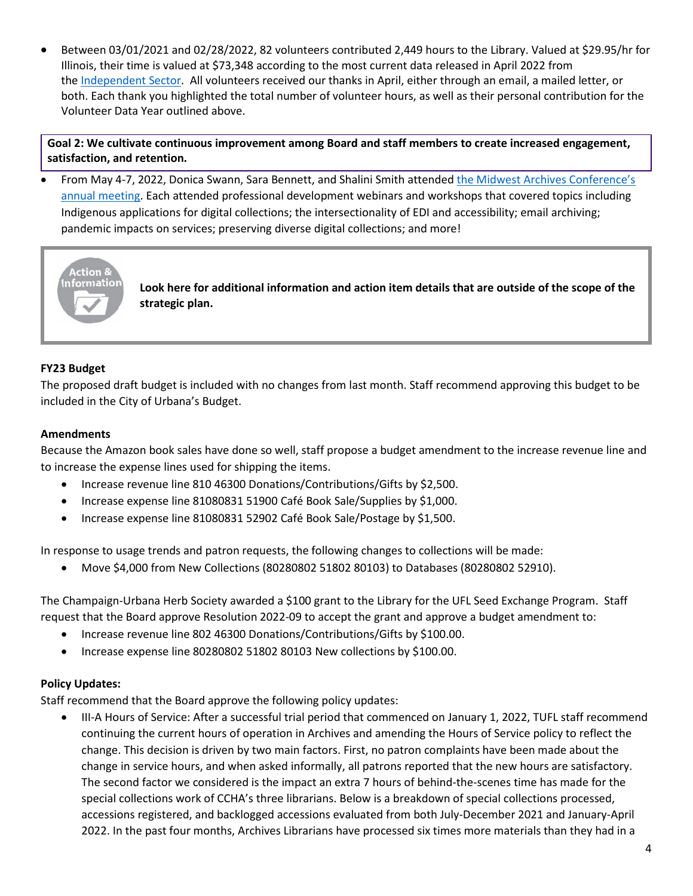• Between 03/01/2021 and 02/28/2022, 82 volunteers contributed 2,449 hours to the Library. Valued at \$29.95/hr for Illinois, their time is valued at \$73,348 according to the most current data released in April 2022 from the [Independent Sector.](https://independentsector.org/value-of-volunteer-time-2022/) All volunteers received our thanks in April, either through an email, a mailed letter, or both. Each thank you highlighted the total number of volunteer hours, as well as their personal contribution for the Volunteer Data Year outlined above.

**Goal 2: We cultivate continuous improvement among Board and staff members to create increased engagement, satisfaction, and retention.**

• From May 4-7, 2022, Donica Swann, Sara Bennett, and Shalini Smith attende[d the Midwest Archives Conference's](https://www.midwestarchives.org/2022-mac-annual-meeting)  [annual meeting.](https://www.midwestarchives.org/2022-mac-annual-meeting) Each attended professional development webinars and workshops that covered topics including Indigenous applications for digital collections; the intersectionality of EDI and accessibility; email archiving; pandemic impacts on services; preserving diverse digital collections; and more!



**Look here for additional information and action item details that are outside of the scope of the strategic plan.**

#### **FY23 Budget**

The proposed draft budget is included with no changes from last month. Staff recommend approving this budget to be included in the City of Urbana's Budget.

#### **Amendments**

Because the Amazon book sales have done so well, staff propose a budget amendment to the increase revenue line and to increase the expense lines used for shipping the items.

- Increase revenue line 810 46300 Donations/Contributions/Gifts by \$2,500.
- Increase expense line 81080831 51900 Café Book Sale/Supplies by \$1,000.
- Increase expense line 81080831 52902 Café Book Sale/Postage by \$1,500.

In response to usage trends and patron requests, the following changes to collections will be made:

• Move \$4,000 from New Collections (80280802 51802 80103) to Databases (80280802 52910).

The Champaign-Urbana Herb Society awarded a \$100 grant to the Library for the UFL Seed Exchange Program. Staff request that the Board approve Resolution 2022-09 to accept the grant and approve a budget amendment to:

- Increase revenue line 802 46300 Donations/Contributions/Gifts by \$100.00.
- Increase expense line 80280802 51802 80103 New collections by \$100.00.

#### **Policy Updates:**

Staff recommend that the Board approve the following policy updates:

• III-A Hours of Service: After a successful trial period that commenced on January 1, 2022, TUFL staff recommend continuing the current hours of operation in Archives and amending the Hours of Service policy to reflect the change. This decision is driven by two main factors. First, no patron complaints have been made about the change in service hours, and when asked informally, all patrons reported that the new hours are satisfactory. The second factor we considered is the impact an extra 7 hours of behind-the-scenes time has made for the special collections work of CCHA's three librarians. Below is a breakdown of special collections processed, accessions registered, and backlogged accessions evaluated from both July-December 2021 and January-April 2022. In the past four months, Archives Librarians have processed six times more materials than they had in a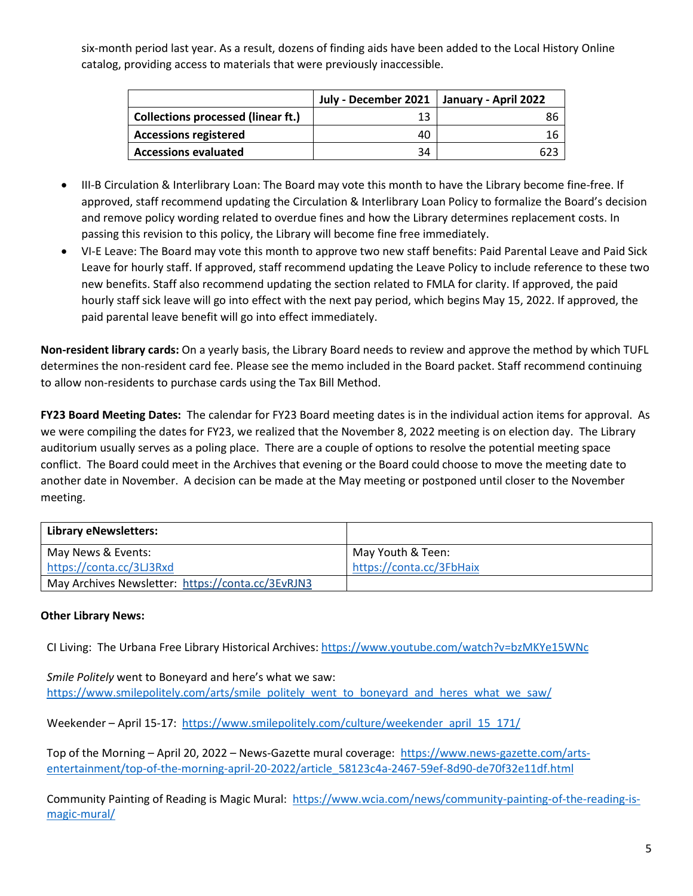six-month period last year. As a result, dozens of finding aids have been added to the Local History Online catalog, providing access to materials that were previously inaccessible.

|                                           | July - December 2021   January - April 2022 |  |
|-------------------------------------------|---------------------------------------------|--|
| <b>Collections processed (linear ft.)</b> |                                             |  |
| <b>Accessions registered</b>              | 40                                          |  |
| <b>Accessions evaluated</b>               | 34                                          |  |

- III-B Circulation & Interlibrary Loan: The Board may vote this month to have the Library become fine-free. If approved, staff recommend updating the Circulation & Interlibrary Loan Policy to formalize the Board's decision and remove policy wording related to overdue fines and how the Library determines replacement costs. In passing this revision to this policy, the Library will become fine free immediately.
- VI-E Leave: The Board may vote this month to approve two new staff benefits: Paid Parental Leave and Paid Sick Leave for hourly staff. If approved, staff recommend updating the Leave Policy to include reference to these two new benefits. Staff also recommend updating the section related to FMLA for clarity. If approved, the paid hourly staff sick leave will go into effect with the next pay period, which begins May 15, 2022. If approved, the paid parental leave benefit will go into effect immediately.

**Non-resident library cards:** On a yearly basis, the Library Board needs to review and approve the method by which TUFL determines the non-resident card fee. Please see the memo included in the Board packet. Staff recommend continuing to allow non-residents to purchase cards using the Tax Bill Method.

**FY23 Board Meeting Dates:** The calendar for FY23 Board meeting dates is in the individual action items for approval. As we were compiling the dates for FY23, we realized that the November 8, 2022 meeting is on election day. The Library auditorium usually serves as a poling place. There are a couple of options to resolve the potential meeting space conflict. The Board could meet in the Archives that evening or the Board could choose to move the meeting date to another date in November. A decision can be made at the May meeting or postponed until closer to the November meeting.

| <b>Library eNewsletters:</b>                      |                          |
|---------------------------------------------------|--------------------------|
| May News & Events:                                | May Youth & Teen:        |
| https://conta.cc/3LJ3Rxd                          | https://conta.cc/3FbHaix |
| May Archives Newsletter: https://conta.cc/3EvRJN3 |                          |

#### **Other Library News:**

CI Living: The Urbana Free Library Historical Archives: <https://www.youtube.com/watch?v=bzMKYe15WNc>

*Smile Politely* went to Boneyard and here's what we saw: [https://www.smilepolitely.com/arts/smile\\_politely\\_went\\_to\\_boneyard\\_and\\_heres\\_what\\_we\\_saw/](https://www.smilepolitely.com/arts/smile_politely_went_to_boneyard_and_heres_what_we_saw/)

Weekender – April 15-17: [https://www.smilepolitely.com/culture/weekender\\_april\\_15\\_171/](https://www.smilepolitely.com/culture/weekender_april_15_171/)

Top of the Morning – April 20, 2022 – News-Gazette mural coverage: [https://www.news-gazette.com/arts](https://www.news-gazette.com/arts-entertainment/top-of-the-morning-april-20-2022/article_58123c4a-2467-59ef-8d90-de70f32e11df.html)[entertainment/top-of-the-morning-april-20-2022/article\\_58123c4a-2467-59ef-8d90-de70f32e11df.html](https://www.news-gazette.com/arts-entertainment/top-of-the-morning-april-20-2022/article_58123c4a-2467-59ef-8d90-de70f32e11df.html)

Community Painting of Reading is Magic Mural: [https://www.wcia.com/news/community-painting-of-the-reading-is](https://www.wcia.com/news/community-painting-of-the-reading-is-magic-mural/)[magic-mural/](https://www.wcia.com/news/community-painting-of-the-reading-is-magic-mural/)